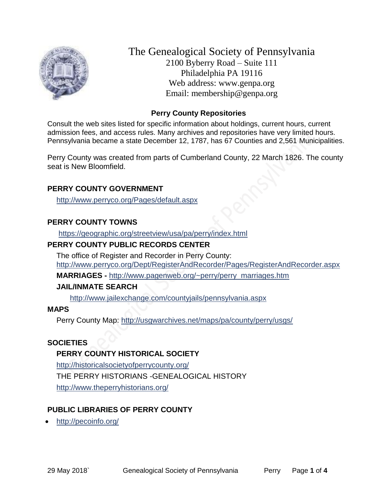

The Genealogical Society of Pennsylvania 2100 Byberry Road – Suite 111 Philadelphia PA 19116 Web address: www.genpa.org Email: membership@genpa.org

# **Perry County Repositories**

Consult the web sites listed for specific information about holdings, current hours, current admission fees, and access rules. Many archives and repositories have very limited hours. Pennsylvania became a state December 12, 1787, has 67 Counties and 2,561 Municipalities.

Perry County was created from parts of Cumberland County, 22 March 1826. The county seat is New Bloomfield.

# **PERRY COUNTY GOVERNMENT**

<http://www.perryco.org/Pages/default.aspx>

# **PERRY COUNTY TOWNS**

<https://geographic.org/streetview/usa/pa/perry/index.html>

# **PERRY COUNTY PUBLIC RECORDS CENTER**

The office of Register and Recorder in Perry County: <http://www.perryco.org/Dept/RegisterAndRecorder/Pages/RegisterAndRecorder.aspx>

**MARRIAGES -** [http://www.pagenweb.org/~perry/perry\\_marriages.htm](http://www.pagenweb.org/~perry/perry_marriages.htm)

# **JAIL/INMATE SEARCH**

<http://www.jailexchange.com/countyjails/pennsylvania.aspx>

# **MAPS**

Perry County Map:<http://usgwarchives.net/maps/pa/county/perry/usgs/>

# **SOCIETIES**

# **PERRY COUNTY HISTORICAL SOCIETY**

<http://historicalsocietyofperrycounty.org/> THE PERRY HISTORIANS -GENEALOGICAL HISTORY <http://www.theperryhistorians.org/>

# **PUBLIC LIBRARIES OF PERRY COUNTY**

<http://pecoinfo.org/>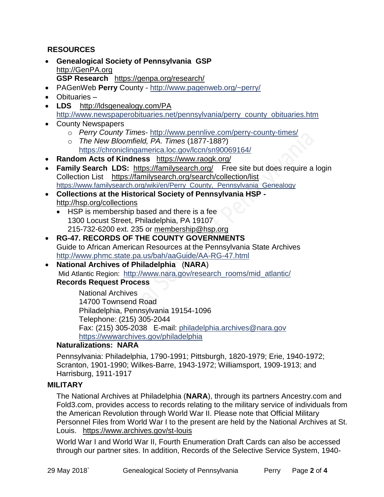# **RESOURCES**

- **Genealogical Society of Pennsylvania GSP** [http://GenPA.org](http://genpa.org/) **GSP Research** <https://genpa.org/research/>
- PAGenWeb **Perry** County <http://www.pagenweb.org/~perry/>
- Obituaries –
- **LDS** <http://ldsgenealogy.com/PA> [http://www.newspaperobituaries.net/pennsylvania/perry\\_county\\_obituaries.htm](http://www.newspaperobituaries.net/pennsylvania/perry_county_obituaries.htm)
- County Newspapers
	- o *Perry County Times* <http://www.pennlive.com/perry-county-times/>
	- o *The New Bloomfield, PA. Times* (1877-188?) <https://chroniclingamerica.loc.gov/lccn/sn90069164/>
- **Random Acts of Kindness** <https://www.raogk.org/>
- Family Search LDS: <https://familysearch.org/>Free site but does require a login Collection List <https://familysearch.org/search/collection/list> [https://www.familysearch.org/wiki/en/Perry\\_County,\\_Pennsylvania\\_Genealogy](https://www.familysearch.org/wiki/en/Perry_County,_Pennsylvania_Genealogy)
- **Collections at the Historical Society of Pennsylvania HSP**  <http://hsp.org/collections>
	- HSP is membership based and there is a fee 1300 Locust Street, Philadelphia, PA 19107 215-732-6200 ext. 235 or [membership@hsp.org](mailto:membership@hsp.org)
- **RG-47. RECORDS OF THE COUNTY GOVERNMENTS** Guide to African American Resources at the Pennsylvania State Archives <http://www.phmc.state.pa.us/bah/aaGuide/AA-RG-47.html>
- **National Archives of Philadelphia** (**NARA**) Mid Atlantic Region: [http://www.nara.gov/research\\_rooms/mid\\_atlantic/](http://www.nara.gov/research_rooms/mid_atlantic/) **Records Request Process**

National Archives 14700 Townsend Road Philadelphia, Pennsylvania 19154-1096 Telephone: (215) 305-2044 Fax: (215) 305-2038 E-mail: [philadelphia.archives@nara.gov](mailto:philadelphia.archives@nara.gov) <https://wwwarchives.gov/philadelphia>

# **Naturalizations: NARA**

Pennsylvania: Philadelphia, 1790-1991; Pittsburgh, 1820-1979; Erie, 1940-1972; Scranton, 1901-1990; Wilkes-Barre, 1943-1972; Williamsport, 1909-1913; and Harrisburg, 1911-1917

# **MILITARY**

The National Archives at Philadelphia (**NARA**), through its partners Ancestry.com and Fold3.com, provides access to records relating to the military service of individuals from the American Revolution through World War II. Please note that Official Military Personnel Files from World War I to the present are held by the National Archives at St. Louis. <https://www.archives.gov/st-louis>

World War I and World War II, Fourth Enumeration Draft Cards can also be accessed through our partner sites. In addition, Records of the Selective Service System, 1940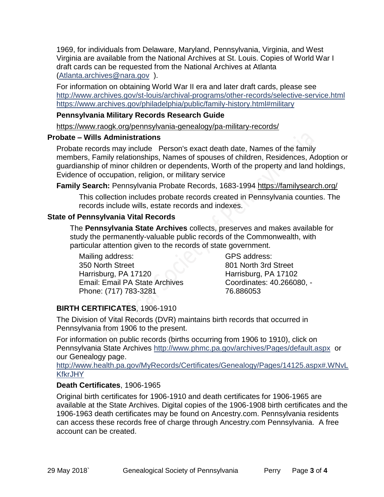1969, for individuals from Delaware, Maryland, Pennsylvania, Virginia, and West Virginia are available from the National Archives at St. Louis. Copies of World War I draft cards can be requested from the National Archives at Atlanta [\(Atlanta.archives@nara.gov](mailto:Atlanta.archives@nara.gov) ).

For information on obtaining World War II era and later draft cards, please see <http://www.archives.gov/st-louis/archival-programs/other-records/selective-service.html> <https://www.archives.gov/philadelphia/public/family-history.html#military>

#### **Pennsylvania Military Records Research Guide**

<https://www.raogk.org/pennsylvania-genealogy/pa-military-records/>

#### **Probate – Wills Administrations**

Probate records may include Person's exact death date, Names of the family members, Family relationships, Names of spouses of children, Residences, Adoption or guardianship of minor children or dependents, Worth of the property and land holdings, Evidence of occupation, religion, or military service

**Family Search:** Pennsylvania Probate Records, 1683-1994 <https://familysearch.org/>

This collection includes probate records created in Pennsylvania counties. The records include wills, estate records and indexes.

#### **State of Pennsylvania Vital Records**

The **Pennsylvania State Archives** collects, preserves and makes available for study the permanently-valuable public records of the Commonwealth, with particular attention given to the records of state government.

Mailing address: 350 North Street Harrisburg, PA 17120 Email: Email PA State Archives Phone: (717) 783-3281

GPS address: 801 North 3rd Street Harrisburg, PA 17102 Coordinates: 40.266080, - 76.886053

# **BIRTH CERTIFICATES**, 1906-1910

The Division of Vital Records (DVR) maintains birth records that occurred in Pennsylvania from 1906 to the present.

For information on public records (births occurring from 1906 to 1910), click on Pennsylvania State Archives <http://www.phmc.pa.gov/archives/Pages/default.aspx>or our Genealogy page.

[http://www.health.pa.gov/MyRecords/Certificates/Genealogy/Pages/14125.aspx#.WNvL](http://www.health.pa.gov/MyRecords/Certificates/Genealogy/Pages/14125.aspx#.WNvLKfkrJHY) **[KfkrJHY](http://www.health.pa.gov/MyRecords/Certificates/Genealogy/Pages/14125.aspx#.WNvLKfkrJHY)** 

# **Death Certificates**, 1906-1965

Original birth certificates for 1906-1910 and death certificates for 1906-1965 are available at the State Archives. Digital copies of the 1906-1908 birth certificates and the 1906-1963 death certificates may be found on Ancestry.com. Pennsylvania residents can access these records free of charge through Ancestry.com Pennsylvania. A free account can be created.